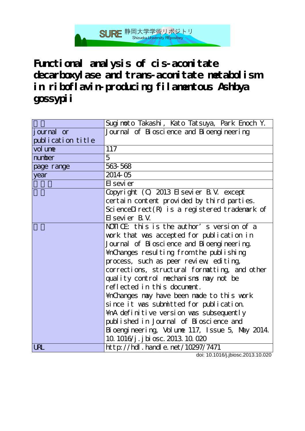

**Functional analysis of cis-aconitate decarboxylase and trans-aconitate metabolism in riboflavin-producing filamentous Ashbya** gossypi i

|                   | Sugi noto Takashi, Kato Tatsuya, Park Enoch Y.      |
|-------------------|-----------------------------------------------------|
| journal or        | Journal of Bioscience and Bioengineering            |
| publication title |                                                     |
| vol une           | 117                                                 |
| number            | 5                                                   |
| page range        | 563 568                                             |
| year              | 2014-05                                             |
|                   | El sevi er                                          |
|                   | Copyright (C) 2013 El sevier B. V. except           |
|                   | certain content provided by third parties.          |
|                   | Science $D$ rect $(R)$ is a registered tradenark of |
|                   | El sevi er B.V.                                     |
|                   | NOTICE: this is the author's version of a           |
|                   | work that was accepted for publication in           |
|                   | Journal of Bioscience and Bioengineering.           |
|                   | \nChanges resulting from the publishing             |
|                   | process, such as peer review editing,               |
|                   | corrections, structural formatting, and other       |
|                   | quality control mechanisms may not be               |
|                   | reflected in this document.                         |
|                   | \nChanges may have been made to this work           |
|                   | since it was submitted for publication.             |
|                   | \nA definitive version was subsequently             |
|                   | published in Journal of Bioscience and              |
|                   | Bioengineering, Volume 117, Issue 5, May 2014.      |
|                   | 10. 1016/j. j bi osc. 2013. 10. 020                 |
| URL               | http://hdl.handle.net/10297/7471                    |

doi: 10.1016/j.jbiosc.2013.10.020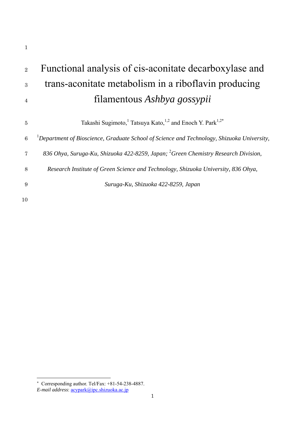| $\sqrt{2}$<br>3<br>$\overline{4}$ | Functional analysis of cis-aconitate decarboxylase and<br>trans-aconitate metabolism in a riboflavin producing<br>filamentous Ashbya gossypii |
|-----------------------------------|-----------------------------------------------------------------------------------------------------------------------------------------------|
| $\overline{5}$                    | Takashi Sugimoto, Tatsuya Kato, <sup>1,2</sup> and Enoch Y. Park <sup>1,2*</sup>                                                              |
| $\,6\,$                           | ${}^{1}$ Department of Bioscience, Graduate School of Science and Technology, Shizuoka University,                                            |
| $\overline{7}$                    | 836 Ohya, Suruga-Ku, Shizuoka 422-8259, Japan; <sup>2</sup> Green Chemistry Research Division,                                                |
| 8                                 | Research Institute of Green Science and Technology, Shizuoka University, 836 Ohya,                                                            |
| 9                                 | Suruga-Ku, Shizuoka 422-8259, Japan                                                                                                           |
| 10                                |                                                                                                                                               |

-

<sup>\*</sup> Corresponding author. Tel/Fax: +81-54-238-4887.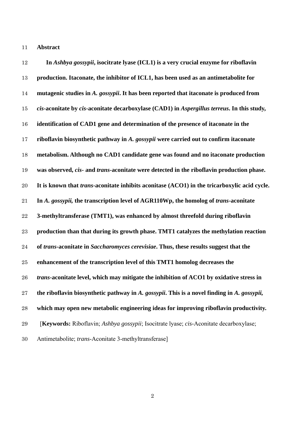**Abstract**

**In** *Ashbya gossypii***, isocitrate lyase (ICL1) is a very crucial enzyme for riboflavin production. Itaconate, the inhibitor of ICL1, has been used as an antimetabolite for mutagenic studies in** *A. gossypii***. It has been reported that itaconate is produced from**  *cis***-aconitate by** *cis***-aconitate decarboxylase (CAD1) in** *Aspergillus terreus***. In this study, identification of CAD1 gene and determination of the presence of itaconate in the riboflavin biosynthetic pathway in** *A. gossypii* **were carried out to confirm itaconate metabolism. Although no CAD1 candidate gene was found and no itaconate production was observed,** *cis-* **and** *trans***-aconitate were detected in the riboflavin production phase. It is known that** *trans***-aconitate inhibits aconitase (ACO1) in the tricarboxylic acid cycle. In** *A. gossypii,* **the transcription level of AGR110Wp, the homolog of** *trans***-aconitate 3-methyltransferase (TMT1), was enhanced by almost threefold during riboflavin production than that during its growth phase. TMT1 catalyzes the methylation reaction of** *trans***-aconitate in** *Saccharomyces cerevisiae***. Thus, these results suggest that the enhancement of the transcription level of this TMT1 homolog decreases the**  *trans***-aconitate level, which may mitigate the inhibition of ACO1 by oxidative stress in the riboflavin biosynthetic pathway in** *A. gossypii***. This is a novel finding in** *A. gossypii,* **which may open new metabolic engineering ideas for improving riboflavin productivity.**  [**Keywords:** Riboflavin; *Ashbya gossypii*; Isocitrate lyase; *cis-*Aconitate decarboxylase; Antimetabolite; *trans*-Aconitate 3-methyltransferase]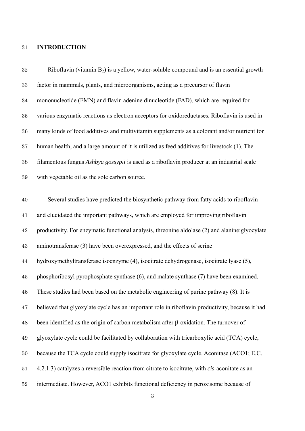# **INTRODUCTION**

| $32\,$ | Riboflavin (vitamin $B_2$ ) is a yellow, water-soluble compound and is an essential growth            |
|--------|-------------------------------------------------------------------------------------------------------|
| $33\,$ | factor in mammals, plants, and microorganisms, acting as a precursor of flavin                        |
| 34     | mononucleotide (FMN) and flavin adenine dinucleotide (FAD), which are required for                    |
| $35\,$ | various enzymatic reactions as electron acceptors for oxidoreductases. Riboflavin is used in          |
| 36     | many kinds of food additives and multivitamin supplements as a colorant and/or nutrient for           |
| 37     | human health, and a large amount of it is utilized as feed additives for livestock (1). The           |
| 38     | filamentous fungus Ashbya gossypii is used as a riboflavin producer at an industrial scale            |
| 39     | with vegetable oil as the sole carbon source.                                                         |
| 40     | Several studies have predicted the biosynthetic pathway from fatty acids to riboflavin                |
| 41     | and elucidated the important pathways, which are employed for improving riboflavin                    |
| 42     | productivity. For enzymatic functional analysis, threonine aldolase (2) and alanine: glyocylate       |
| 43     | aminotransferase (3) have been overexpressed, and the effects of serine                               |
| 44     | hydroxymethyltransferase isoenzyme (4), isocitrate dehydrogenase, isocitrate lyase (5),               |
| 45     | phosphoribosyl pyrophosphate synthase (6), and malate synthase (7) have been examined.                |
| 46     | These studies had been based on the metabolic engineering of purine pathway (8). It is                |
| 47     | believed that glyoxylate cycle has an important role in riboflavin productivity, because it had       |
| 48     | been identified as the origin of carbon metabolism after $\beta$ -oxidation. The turnover of          |
| 49     | glyoxylate cycle could be facilitated by collaboration with tricarboxylic acid (TCA) cycle,           |
| 50     | because the TCA cycle could supply isocitrate for glyoxylate cycle. Aconitase (ACO1; E.C.             |
| 51     | 4.2.1.3) catalyzes a reversible reaction from citrate to isocitrate, with <i>cis</i> -aconitate as an |
| $52\,$ | intermediate. However, ACO1 exhibits functional deficiency in peroxisome because of                   |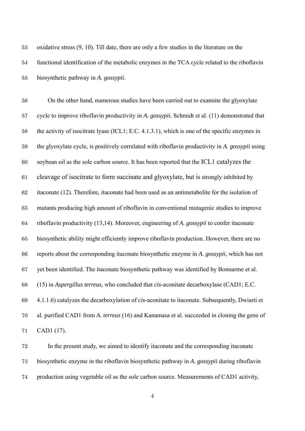| 53 | oxidative stress $(9, 10)$ . Till date, there are only a few studies in the literature on the |
|----|-----------------------------------------------------------------------------------------------|
| 54 | functional identification of the metabolic enzymes in the TCA cycle related to the riboflavin |
| 55 | biosynthetic pathway in A. gossypii.                                                          |

On the other hand, numerous studies have been carried out to examine the glyoxylate cycle to improve riboflavin productivity in *A. gossypii*. Schmidt et al. (11) demonstrated that the activity of isocitrate lyase (ICL1; E.C. 4.1.3.1), which is one of the specific enzymes in the glyoxylate cycle, is positively correlated with riboflavin productivity in *A. gossypii* using soybean oil as the sole carbon source. It has been reported that the ICL1 catalyzes the cleavage of isocitrate to form succinate and glyoxylate, but is strongly inhibited by itaconate (12). Therefore, itaconate had been used as an antimetabolite for the isolation of mutants producing high amount of riboflavin in conventional mutagenic studies to improve riboflavin productivity (13,14). Moreover, engineering of *A. gossypii* to confer itaconate biosynthetic ability might efficiently improve riboflavin production. However, there are no reports about the corresponding itaconate biosynthetic enzyme in *A. gossypii*, which has not yet been identified. The itaconate biosynthetic pathway was identified by Bonnarme et al. (15) in *Aspergillus terreus,* who concluded that *cis*-aconitate decarboxylase (CAD1; E.C. 4.1.1.6) catalyzes the decarboxylation of *cis*-aconitate to itaconate. Subsequently, Dwiarti et al. purified CAD1 from *A. terreus* (16) and Kanamasa et al. succeeded in cloning the gene of CAD1 (17).

In the present study, we aimed to identify itaconate and the corresponding itaconate biosynthetic enzyme in the riboflavin biosynthetic pathway in *A. gossypii* during riboflavin production using vegetable oil as the sole carbon source. Measurements of CAD1 activity,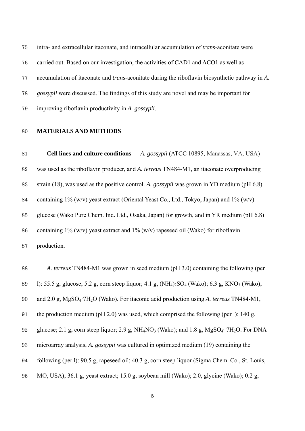intra- and extracellular itaconate, and intracellular accumulation of *trans*-aconitate were carried out. Based on our investigation, the activities of CAD1 and ACO1 as well as accumulation of itaconate and *trans*-aconitate during the riboflavin biosynthetic pathway in *A. gossypii* were discussed. The findings of this study are novel and may be important for improving riboflavin productivity in *A. gossypii*.

### **MATERIALS AND METHODS**

**Cell lines and culture conditions** *A. gossypii* (ATCC 10895, Manassas, VA, USA) was used as the riboflavin producer, and *A. terreus* TN484-M1, an itaconate overproducing strain (18), was used as the positive control. *A. gossypii* was grown in YD medium (pH 6.8) 84 containing  $1\%$  (w/v) yeast extract (Oriental Yeast Co., Ltd., Tokyo, Japan) and  $1\%$  (w/v) glucose (Wako Pure Chem. Ind. Ltd., Osaka, Japan) for growth, and in YR medium (pH 6.8) containing 1% (w/v) yeast extract and 1% (w/v) rapeseed oil (Wako) for riboflavin production.

*A. terreus* TN484-M1 was grown in seed medium (pH 3.0) containing the following (per 89 l): 55.5 g, glucose; 5.2 g, corn steep liquor; 4.1 g,  $(NH_4)$  $SO_4$  (Wako); 6.3 g, KNO<sub>3</sub> (Wako); and 2.0 g, MgSO4·7H2O (Wako). For itaconic acid production using *A. terreus* TN484-M1, the production medium (pH 2.0) was used, which comprised the following (per l): 140 g, 92 glucose; 2.1 g, corn steep liquor; 2.9 g,  $NH_4NO_3$  (Wako); and 1.8 g, MgSO<sub>4</sub>·7H<sub>2</sub>O. For DNA microarray analysis, *A. gossypii* was cultured in optimized medium (19) containing the following (per l): 90.5 g, rapeseed oil; 40.3 g, corn steep liquor (Sigma Chem. Co., St. Louis, MO, USA); 36.1 g, yeast extract; 15.0 g, soybean mill (Wako); 2.0, glycine (Wako); 0.2 g,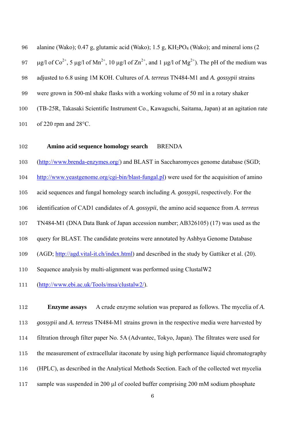96 alanine (Wako); 0.47 g, glutamic acid (Wako); 1.5 g, KH<sub>2</sub>PO<sub>4</sub> (Wako); and mineral ions (2)  $\mu$ g/l of Co<sup>2+</sup>, 5  $\mu$ g/l of Mn<sup>2+</sup>, 10  $\mu$ g/l of Zn<sup>2+</sup>, and 1  $\mu$ g/l of Mg<sup>2+</sup>). The pH of the medium was adjusted to 6.8 using 1M KOH. Cultures of *A. terreus* TN484-M1 and *A. gossypii* strains were grown in 500-ml shake flasks with a working volume of 50 ml in a rotary shaker (TB-25R, Takasaki Scientific Instrument Co., Kawaguchi, Saitama, Japan) at an agitation rate 101 of 220 rpm and 28°C.

### **Amino acid sequence homology search** BRENDA

(http://www.brenda-enzymes.org/) and BLAST in Saccharomyces genome database (SGD; http://www.yeastgenome.org/cgi-bin/blast-fungal.pl) were used for the acquisition of amino acid sequences and fungal homology search including *A. gossypii*, respectively. For the identification of CAD1 candidates of *A. gossypii*, the amino acid sequence from *A. terreus* TN484-M1 (DNA Data Bank of Japan accession number; AB326105) (17) was used as the query for BLAST. The candidate proteins were annotated by Ashbya Genome Database (AGD; http://agd.vital-it.ch/index.html) and described in the study by Gattiker et al. (20). Sequence analysis by multi-alignment was performed using ClustalW2

(http://www.ebi.ac.uk/Tools/msa/clustalw2/).

**Enzyme assays** A crude enzyme solution was prepared as follows. The mycelia of *A. gossypii* and *A. terreus* TN484-M1 strains grown in the respective media were harvested by filtration through filter paper No. 5A (Advantec, Tokyo, Japan). The filtrates were used for the measurement of extracellular itaconate by using high performance liquid chromatography (HPLC), as described in the Analytical Methods Section. Each of the collected wet mycelia 117 sample was suspended in 200  $\mu$ l of cooled buffer comprising 200 mM sodium phosphate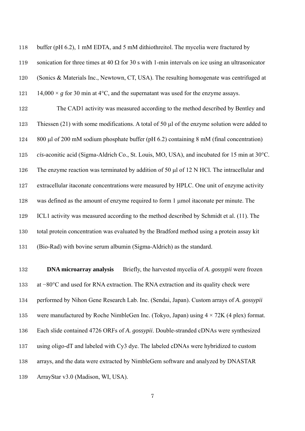buffer (pH 6.2), 1 mM EDTA, and 5 mM dithiothreitol. The mycelia were fractured by 119 sonication for three times at 40  $\Omega$  for 30 s with 1-min intervals on ice using an ultrasonicator (Sonics & Materials Inc., Newtown, CT, USA). The resulting homogenate was centrifuged at 121 14,000  $\times$  *g* for 30 min at 4 °C, and the supernatant was used for the enzyme assays. The CAD1 activity was measured according to the method described by Bentley and 123 Thiessen (21) with some modifications. A total of 50  $\mu$  of the enzyme solution were added to 124 800 µ of 200 mM sodium phosphate buffer (pH 6.2) containing 8 mM (final concentration) *cis*-aconitic acid (Sigma-Aldrich Co., St. Louis, MO, USA), and incubated for 15 min at 30°C. 126 The enzyme reaction was terminated by addition of 50  $\mu$ l of 12 N HCl. The intracellular and extracellular itaconate concentrations were measured by HPLC. One unit of enzyme activity

128 was defined as the amount of enzyme required to form 1 umol itaconate per minute. The ICL1 activity was measured according to the method described by Schmidt et al. (11). The

total protein concentration was evaluated by the Bradford method using a protein assay kit

(Bio-Rad) with bovine serum albumin (Sigma-Aldrich) as the standard.

**DNA microarray analysis** Briefly, the harvested mycelia of *A. gossypii* were frozen at −80°C and used for RNA extraction. The RNA extraction and its quality check were performed by Nihon Gene Research Lab. Inc. (Sendai, Japan). Custom arrays of *A. gossypii* 135 were manufactured by Roche NimbleGen Inc. (Tokyo, Japan) using  $4 \times 72K$  (4 plex) format. Each slide contained 4726 ORFs of *A. gossypii*. Double-stranded cDNAs were synthesized using oligo-dT and labeled with Cy3 dye. The labeled cDNAs were hybridized to custom arrays, and the data were extracted by NimbleGem software and analyzed by DNASTAR ArrayStar v3.0 (Madison, WI, USA).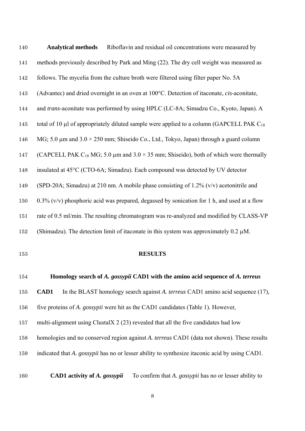| 140 | <b>Analytical methods</b> | Riboflavin and residual oil concentrations were measured by                                                 |
|-----|---------------------------|-------------------------------------------------------------------------------------------------------------|
| 141 |                           | methods previously described by Park and Ming (22). The dry cell weight was measured as                     |
| 142 |                           | follows. The mycelia from the culture broth were filtered using filter paper No. 5A                         |
| 143 |                           | (Advantec) and dried overnight in an oven at 100°C. Detection of itaconate, <i>cis</i> -aconitate,          |
| 144 |                           | and trans-aconitate was performed by using HPLC (LC-8A; Simadzu Co., Kyoto, Japan). A                       |
| 145 |                           | total of 10 $\mu$ l of appropriately diluted sample were applied to a column (GAPCELL PAK C <sub>18</sub> ) |
| 146 |                           | MG; 5.0 $\mu$ m and 3.0 $\times$ 250 mm; Shiseido Co., Ltd., Tokyo, Japan) through a guard column           |
| 147 |                           | (CAPCELL PAK $C_{18}$ MG; 5.0 µm and 3.0 $\times$ 35 mm; Shiseido), both of which were thermally            |
| 148 |                           | insulated at 45°C (CTO-6A; Simadzu). Each compound was detected by UV detector                              |
| 149 |                           | (SPD-20A; Simadzu) at 210 nm. A mobile phase consisting of $1.2\%$ (v/v) acetonitrile and                   |
| 150 |                           | $0.3\%$ (v/v) phosphoric acid was prepared, degassed by sonication for 1 h, and used at a flow              |
| 151 |                           | rate of 0.5 ml/min. The resulting chromatogram was re-analyzed and modified by CLASS-VP                     |
| 152 |                           | (Shimadzu). The detection limit of it aconate in this system was approximately $0.2 \mu M$ .                |

## **RESULTS**

| 154 |  |  | Homology search of A. gossypii CAD1 with the amino acid sequence of A. terreus |  |
|-----|--|--|--------------------------------------------------------------------------------|--|
|-----|--|--|--------------------------------------------------------------------------------|--|

**CAD1** In the BLAST homology search against *A. terreus* CAD1 amino acid sequence (17),

five proteins of *A. gossypii* were hit as the CAD1 candidates (Table 1). However,

multi-alignment using ClustalX 2 (23) revealed that all the five candidates had low

homologies and no conserved region against *A. terreus* CAD1 (data not shown). These results

indicated that *A. gossypii* has no or lesser ability to synthesize itaconic acid by using CAD1.

**CAD1 activity of** *A. gossypii* To confirm that *A. gossypii* has no or lesser ability to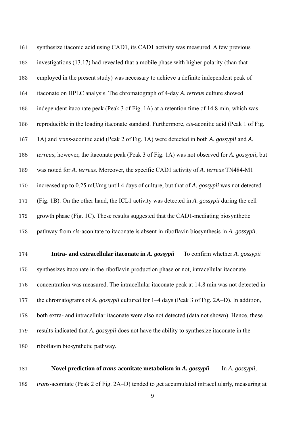| 161 | synthesize itaconic acid using CAD1, its CAD1 activity was measured. A few previous                            |
|-----|----------------------------------------------------------------------------------------------------------------|
| 162 | investigations (13,17) had revealed that a mobile phase with higher polarity (than that                        |
| 163 | employed in the present study) was necessary to achieve a definite independent peak of                         |
| 164 | itaconate on HPLC analysis. The chromatograph of 4-day A. terreus culture showed                               |
| 165 | independent it aconate peak (Peak 3 of Fig. 1A) at a retention time of 14.8 min, which was                     |
| 166 | reproducible in the loading it aconate standard. Furthermore, <i>cis</i> -aconitic acid (Peak 1 of Fig.        |
| 167 | 1A) and <i>trans</i> -aconitic acid (Peak 2 of Fig. 1A) were detected in both A. <i>gossypii</i> and A.        |
| 168 | <i>terreus</i> ; however, the itaconate peak (Peak 3 of Fig. 1A) was not observed for A. <i>gossypii</i> , but |
| 169 | was noted for A. terreus. Moreover, the specific CAD1 activity of A. terreus TN484-M1                          |
| 170 | increased up to 0.25 mU/mg until 4 days of culture, but that of A. gossypii was not detected                   |
| 171 | (Fig. 1B). On the other hand, the ICL1 activity was detected in A. gossypii during the cell                    |
| 172 | growth phase (Fig. 1C). These results suggested that the CAD1-mediating biosynthetic                           |
| 173 | pathway from <i>cis</i> -aconitate to it aconate is absent in riboflavin biosynthesis in A. gossypii.          |

**Intra- and extracellular itaconate in** *A. gossypii* To confirm whether *A. gossypii* synthesizes itaconate in the riboflavin production phase or not, intracellular itaconate concentration was measured. The intracellular itaconate peak at 14.8 min was not detected in the chromatograms of *A. gossypii* cultured for 1–4 days (Peak 3 of Fig. 2A–D). In addition, both extra- and intracellular itaconate were also not detected (data not shown). Hence, these results indicated that *A. gossypii* does not have the ability to synthesize itaconate in the riboflavin biosynthetic pathway.

**Novel prediction of** *trans***-aconitate metabolism in** *A. gossypii*In *A. gossypii, trans*-aconitate (Peak 2 of Fig. 2A–D) tended to get accumulated intracellularly, measuring at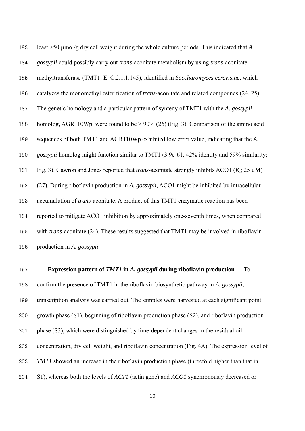least >50 mol/g dry cell weight during the whole culture periods. This indicated that *A. gossypii* could possibly carry out *trans*-aconitate metabolism by using *trans*-aconitate methyltransferase (TMT1; E. C.2.1.1.145), identified in *Saccharomyces cerevisiae,* which catalyzes the monomethyl esterification of *trans*-aconitate and related compounds (24, 25). The genetic homology and a particular pattern of synteny of TMT1 with the *A. gossypii* homolog, AGR110Wp, were found to be > 90% (26) (Fig. 3). Comparison of the amino acid sequences of both TMT1 and AGR110Wp exhibited low error value, indicating that the *A. gossypii* homolog might function similar to TMT1 (3.9e-61, 42% identity and 59% similarity; 191 Fig. 3). Gawron and Jones reported that *trans*-aconitate strongly inhibits ACO1 ( $K_i$ ; 25  $\mu$ M) (27). During riboflavin production in *A. gossypii,* ACO1 might be inhibited by intracellular accumulation of *trans*-aconitate. A product of this TMT1 enzymatic reaction has been reported to mitigate ACO1 inhibition by approximately one-seventh times, when compared with *trans*-aconitate (24). These results suggested that TMT1 may be involved in riboflavin production in *A. gossypii*.

# **Expression pattern of** *TMT1* **in** *A. gossypii* **during riboflavin production** To confirm the presence of TMT1 in the riboflavin biosynthetic pathway in *A. gossypii*, transcription analysis was carried out. The samples were harvested at each significant point: growth phase (S1), beginning of riboflavin production phase (S2), and riboflavin production phase (S3), which were distinguished by time-dependent changes in the residual oil concentration, dry cell weight, and riboflavin concentration (Fig. 4A). The expression level of *TMT1* showed an increase in the riboflavin production phase (threefold higher than that in S1), whereas both the levels of *ACT1* (actin gene) and *ACO1* synchronously decreased or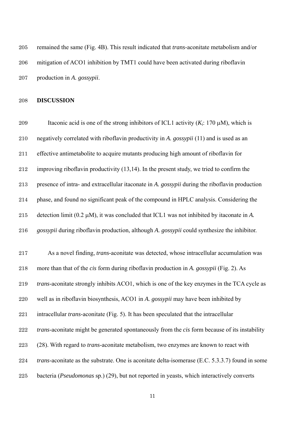| 205 | remained the same (Fig. 4B). This result indicated that <i>trans</i> -aconitate metabolism and/or |
|-----|---------------------------------------------------------------------------------------------------|
| 206 | mitigation of ACO1 inhibition by TMT1 could have been activated during riboflavin                 |
| 207 | production in A. gossypii.                                                                        |

## **DISCUSSION**

209 Itaconic acid is one of the strong inhibitors of ICL1 activity  $(K_i: 170 \text{ uM})$ , which is negatively correlated with riboflavin productivity in *A. gossypii* (11) and is used as an effective antimetabolite to acquire mutants producing high amount of riboflavin for improving riboflavin productivity (13,14). In the present study, we tried to confirm the presence of intra- and extracellular itaconate in *A. gossypii* during the riboflavin production phase, and found no significant peak of the compound in HPLC analysis. Considering the detection limit (0.2 M), it was concluded that ICL1 was not inhibited by itaconate in *A. gossypii* during riboflavin production, although *A. gossypii* could synthesize the inhibitor. As a novel finding, *trans*-aconitate was detected, whose intracellular accumulation was more than that of the *cis* form during riboflavin production in *A. gossypii* (Fig. 2). As *trans*-aconitate strongly inhibits ACO1, which is one of the key enzymes in the TCA cycle as well as in riboflavin biosynthesis, ACO1 in *A. gossypii* may have been inhibited by intracellular *trans*-aconitate (Fig. 5). It has been speculated that the intracellular *trans*-aconitate might be generated spontaneously from the *cis* form because of its instability (28). With regard to *trans*-aconitate metabolism, two enzymes are known to react with *trans*-aconitate as the substrate. One is aconitate delta-isomerase (E.C. 5.3.3.7) found in some bacteria (*Pseudomonas* sp.) (29), but not reported in yeasts, which interactively converts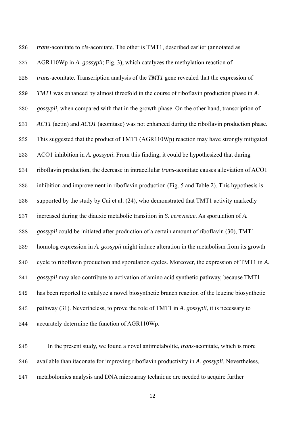*trans-*aconitate to *cis*-aconitate. The other is TMT1, described earlier (annotated as AGR110Wp in *A. gossypii*; Fig. 3), which catalyzes the methylation reaction of *trans*-aconitate. Transcription analysis of the *TMT1* gene revealed that the expression of *TMT1* was enhanced by almost threefold in the course of riboflavin production phase in *A. gossypii*, when compared with that in the growth phase. On the other hand, transcription of *ACT1* (actin) and *ACO1* (aconitase) was not enhanced during the riboflavin production phase. This suggested that the product of TMT1 (AGR110Wp) reaction may have strongly mitigated ACO1 inhibition in *A. gossypii*. From this finding, it could be hypothesized that during riboflavin production, the decrease in intracellular *trans*-aconitate causes alleviation of ACO1 inhibition and improvement in riboflavin production (Fig. 5 and Table 2). This hypothesis is supported by the study by Cai et al. (24), who demonstrated that TMT1 activity markedly increased during the diauxic metabolic transition in *S. cerevisiae*. As sporulation of *A. gossypii* could be initiated after production of a certain amount of riboflavin (30), TMT1 homolog expression in *A. gossypii* might induce alteration in the metabolism from its growth cycle to riboflavin production and sporulation cycles. Moreover, the expression of TMT1 in *A. gossypii* may also contribute to activation of amino acid synthetic pathway, because TMT1 has been reported to catalyze a novel biosynthetic branch reaction of the leucine biosynthetic pathway (31). Nevertheless, to prove the role of TMT1 in *A. gossypii*, it is necessary to accurately determine the function of AGR110Wp.

In the present study, we found a novel antimetabolite, *trans*-aconitate, which is more available than itaconate for improving riboflavin productivity in *A. gossypii*. Nevertheless, metabolomics analysis and DNA microarray technique are needed to acquire further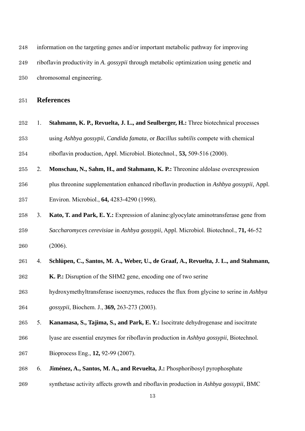| 248 | information on the targeting genes and/or important metabolic pathway for improving     |
|-----|-----------------------------------------------------------------------------------------|
| 249 | riboflavin productivity in A. gossypii through metabolic optimization using genetic and |
| 250 | chromosomal engineering.                                                                |

# **References**

|  | 252 1. Stahmann, K. P., Revuelta, J. L., and Seulberger, H.: Three biotechnical processes |
|--|-------------------------------------------------------------------------------------------|
|  |                                                                                           |

using *Ashbya gossypii*, *Candida famata*, or *Bacillus subtilis* compete with chemical

riboflavin production, Appl. Microbiol. Biotechnol., **53,** 509-516 (2000).

2. **Monschau, N., Sahm, H., and Stahmann, K. P.:** Threonine aldolase overexpression

plus threonine supplementation enhanced riboflavin production in *Ashbya gossypii*, Appl.

Environ. Microbiol., **64,** 4283-4290 (1998).

3. **Kato, T. and Park, E. Y.:** Expression of alanine:glyocylate aminotransferase gene from *Saccharomyces cerevisiae* in *Ashbya gossypii*, Appl. Microbiol. Biotechnol., **71,** 46-52

(2006).

- 4. **Schlüpen, C., Santos, M. A., Weber, U., de Graaf, A., Revuelta, J. L., and Stahmann,**
- **K. P.:** Disruption of the SHM2 gene, encoding one of two serine

hydroxymethyltransferase isoenzymes, reduces the flux from glycine to serine in *Ashbya* 

*gossypii*, Biochem. J., **369,** 263-273 (2003).

- 5. **Kanamasa, S., Tajima, S., and Park, E. Y.:** Isocitrate dehydrogenase and isocitrate
- lyase are essential enzymes for riboflavin production in *Ashbya gossypii*, Biotechnol.

Bioprocess Eng., **12,** 92-99 (2007).

- 6. **Jiménez, A., Santos, M. A., and Revuelta, J.:** Phosphoribosyl pyrophosphate
- synthetase activity affects growth and riboflavin production in *Ashbya gossypii*, BMC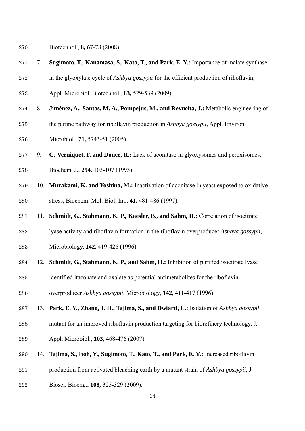- Biotechnol., **8,** 67-78 (2008).
- 7. **Sugimoto, T., Kanamasa, S., Kato, T., and Park, E. Y.:** Importance of malate synthase
- in the glyoxylate cycle of *Ashbya gossypii* for the efficient production of riboflavin,
- Appl. Microbiol. Biotechnol., **83,** 529-539 (2009).
- 8. **Jiménez, A., Santos, M. A., Pompejus, M., and Revuelta, J.:** Metabolic engineering of
- the purine pathway for riboflavin production in *Ashbya gossypii*, Appl. Environ.
- Microbiol., **71,** 5743-51 (2005).
- 9. **C.-Verniquet, F. and Douce, R.:** Lack of aconitase in glyoxysomes and peroxisomes, Biochem. J., **294,** 103-107 (1993).
- 10. **Murakami, K. and Yoshino, M.:** Inactivation of aconitase in yeast exposed to oxidative stress, Biochem. Mol. Biol. Int., **41,** 481-486 (1997).
- 11. **Schmidt, G., Stahmann, K. P., Kaesler, B., and Sahm, H.:** Correlation of isocitrate
- lyase activity and riboflavin formation in the riboflavin overproducer *Ashbya gossypii*,
- Microbiology, **142,** 419-426 (1996).
- 12. **Schmidt, G., Stahmann, K. P., and Sahm, H.:** Inhibition of purified isocitrate lyase
- identified itaconate and oxalate as potential antimetabolites for the riboflavin
- overproducer *Ashbya gossypii*, Microbiology, **142,** 411-417 (1996).
- 13. **Park, E. Y., Zhang, J. H., Tajima, S., and Dwiarti, L.:** Isolation of *Ashbya gossypii*
- mutant for an improved riboflavin production targeting for biorefinery technology, J.
- Appl. Microbiol., **103,** 468-476 (2007).
- 14. **Tajima, S., Itoh, Y., Sugimoto, T., Kato, T., and Park, E. Y.:** Increased riboflavin
- production from activated bleaching earth by a mutant strain of *Ashbya gossypii*, J.
- Biosci. Bioeng., **108,** 325-329 (2009).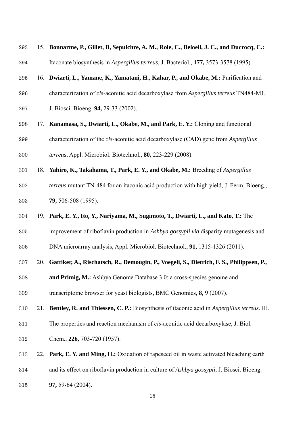| 293     |     | 15. Bonnarme, P., Gillet, B, Sepulchre, A. M., Role, C., Beloeil, J. C., and Ducrocq, C.:   |
|---------|-----|---------------------------------------------------------------------------------------------|
| 294     |     | Itaconate biosynthesis in Aspergillus terreus, J. Bacteriol., 177, 3573-3578 (1995).        |
| $\,295$ |     | 16. Dwiarti, L., Yamane, K., Yamatani, H., Kahar, P., and Okabe, M.: Purification and       |
| 296     |     | characterization of cis-aconitic acid decarboxylase from Aspergillus terreus TN484-M1,      |
| 297     |     | J. Biosci. Bioeng. 94, 29-33 (2002).                                                        |
| 298     |     | 17. Kanamasa, S., Dwiarti, L., Okabe, M., and Park, E. Y.: Cloning and functional           |
| 299     |     | characterization of the cis-aconitic acid decarboxylase (CAD) gene from Aspergillus         |
| $300\,$ |     | terreus, Appl. Microbiol. Biotechnol., 80, 223-229 (2008).                                  |
| 301     | 18. | Yahiro, K., Takahama, T., Park, E. Y., and Okabe, M.: Breeding of Aspergillus               |
| 302     |     | terreus mutant TN-484 for an itaconic acid production with high yield, J. Ferm. Bioeng.,    |
| 303     |     | 79, 506-508 (1995).                                                                         |
| 304     |     | 19. Park, E. Y., Ito, Y., Nariyama, M., Sugimoto, T., Dwiarti, L., and Kato, T.: The        |
| 305     |     | improvement of riboflavin production in Ashbya gossypii via disparity mutagenesis and       |
| 306     |     | DNA microarray analysis, Appl. Microbiol. Biotechnol., 91, 1315-1326 (2011).                |
| 307     | 20. | Gattiker, A., Rischatsch, R., Demougin, P., Voegeli, S., Dietrich, F. S., Philippsen, P.,   |
| 308     |     | and Primig, M.: Ashbya Genome Database 3.0: a cross-species genome and                      |
| 309     |     | transcriptome browser for yeast biologists, BMC Genomics, 8, 9 (2007).                      |
| 310     | 21. | Bentley, R. and Thiessen, C. P.: Biosynthesis of itaconic acid in Aspergillus terreus. III. |
| 311     |     | The properties and reaction mechanism of <i>cis</i> -aconitic acid decarboxylase, J. Biol.  |
| 312     |     | Chem., 226, 703-720 (1957).                                                                 |
| 313     |     | 22. Park, E. Y. and Ming, H.: Oxidation of rapeseed oil in waste activated bleaching earth  |
| 314     |     | and its effect on riboflavin production in culture of Ashbya gossypii, J. Biosci. Bioeng.   |
| 315     |     | 97, 59-64 (2004).                                                                           |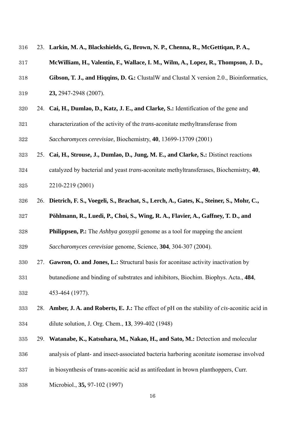| 316 | 23. Larkin, M. A., Blackshields, G., Brown, N. P., Chenna, R., McGettiqan, P. A.,              |
|-----|------------------------------------------------------------------------------------------------|
| 317 | McWilliam, H., Valentin, F., Wallace, I. M., Wilm, A., Lopez, R., Thompson, J. D.,             |
| 318 | Gibson, T. J., and Hiqqins, D. G.: ClustalW and Clustal X version 2.0., Bioinformatics,        |
| 319 | 23, 2947-2948 (2007).                                                                          |
| 320 | 24. Cai, H., Dumlao, D., Katz, J. E., and Clarke, S.: Identification of the gene and           |
| 321 | characterization of the activity of the <i>trans</i> -aconitate methyltransferase from         |
| 322 | Saccharomyces cerevisiae, Biochemistry, 40, 13699-13709 (2001)                                 |
| 323 | 25. Cai, H., Strouse, J., Dumlao, D., Jung, M. E., and Clarke, S.: Distinct reactions          |
| 324 | catalyzed by bacterial and yeast <i>trans</i> -aconitate methyltransferases, Biochemistry, 40, |
| 325 | 2210-2219 (2001)                                                                               |
| 326 | 26. Dietrich, F. S., Voegeli, S., Brachat, S., Lerch, A., Gates, K., Steiner, S., Mohr, C.,    |
| 327 | Pöhlmann, R., Luedi, P., Choi, S., Wing, R. A., Flavier, A., Gaffney, T. D., and               |
| 328 | <b>Philippsen, P.:</b> The <i>Ashbya gossypii</i> genome as a tool for mapping the ancient     |
| 329 | Saccharomyces cerevisiae genome, Science, 304, 304-307 (2004).                                 |
| 330 | 27. Gawron, O. and Jones, L.: Structural basis for aconitase activity inactivation by          |
| 331 | butanedione and binding of substrates and inhibitors, Biochim. Biophys. Acta., 484,            |
| 332 | 453-464 (1977).                                                                                |
| 333 | 28. Amber, J. A. and Roberts, E. J.: The effect of pH on the stability of cis-aconitic acid in |
| 334 | dilute solution, J. Org. Chem., 13, 399-402 (1948)                                             |
| 335 | 29. Watanabe, K., Katsuhara, M., Nakao, H., and Sato, M.: Detection and molecular              |
| 336 | analysis of plant- and insect-associated bacteria harboring aconitate isomerase involved       |
| 337 | in biosynthesis of trans-aconitic acid as antifeedant in brown planthoppers, Curr.             |
| 338 | Microbiol., 35, 97-102 (1997)                                                                  |
|     | 16                                                                                             |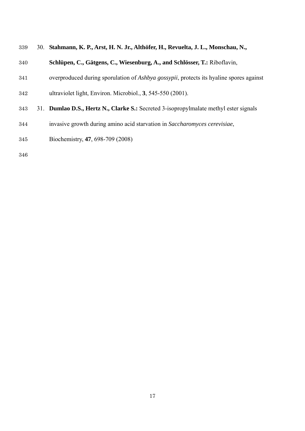| 339 | 30. Stahmann, K. P., Arst, H. N. Jr., Althöfer, H., Revuelta, J. L., Monschau, N.,              |
|-----|-------------------------------------------------------------------------------------------------|
| 340 | Schlüpen, C., Gätgens, C., Wiesenburg, A., and Schlösser, T.: Riboflavin,                       |
| 341 | overproduced during sporulation of <i>Ashbya gossypii</i> , protects its hyaline spores against |
| 342 | ultraviolet light, Environ. Microbiol., 3, 545-550 (2001).                                      |
| 343 | 31. Dumlao D.S., Hertz N., Clarke S.: Secreted 3-isopropylmalate methyl ester signals           |
| 344 | invasive growth during amino acid starvation in Saccharomyces cerevisiae,                       |

Biochemistry, **47**, 698-709 (2008)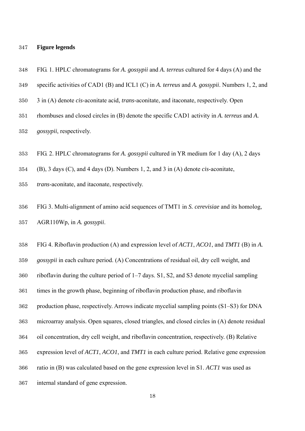#### **Figure legends**

| 348 |  | FIG. 1. HPLC chromatograms for A. <i>gossypii</i> and A. <i>terreus</i> cultured for 4 days (A) and the |  |  |  |  |  |
|-----|--|---------------------------------------------------------------------------------------------------------|--|--|--|--|--|
|     |  |                                                                                                         |  |  |  |  |  |

- specific activities of CAD1 (B) and ICL1 (C) in *A. terreus* and *A. gossypii*. Numbers 1, 2, and
- 3 in (A) denote *cis*-aconitate acid, *trans*-aconitate, and itaconate, respectively. Open
- rhombuses and closed circles in (B) denote the specific CAD1 activity in *A. terreus* and *A. gossypii*, respectively.
- FIG. 2. HPLC chromatograms for *A. gossypii* cultured in YR medium for 1 day (A), 2 days
- (B), 3 days (C), and 4 days (D). Numbers 1, 2, and 3 in (A) denote *cis*-aconitate,
- *trans*-aconitate, and itaconate, respectively.
- FIG 3. Multi-alignment of amino acid sequences of TMT1 in *S. cerevisiae* and its homolog, AGR110Wp, in *A. gossypii*.

FIG 4. Riboflavin production (A) and expression level of *ACT1*, *ACO1*, and *TMT1* (B) in *A. gossypii* in each culture period. (A) Concentrations of residual oil, dry cell weight, and riboflavin during the culture period of 1–7 days. S1, S2, and S3 denote mycelial sampling times in the growth phase, beginning of riboflavin production phase, and riboflavin production phase, respectively. Arrows indicate mycelial sampling points (S1–S3) for DNA microarray analysis. Open squares, closed triangles, and closed circles in (A) denote residual oil concentration, dry cell weight, and riboflavin concentration, respectively. (B) Relative expression level of *ACT1*, *ACO1*, and *TMT1* in each culture period. Relative gene expression ratio in (B) was calculated based on the gene expression level in S1. *ACT1* was used as internal standard of gene expression.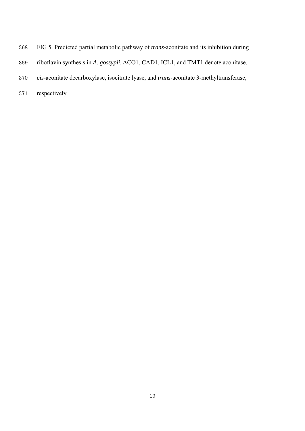- FIG 5. Predicted partial metabolic pathway of *trans-*aconitate and its inhibition during
- riboflavin synthesis in *A. gossypii*. ACO1, CAD1, ICL1, and TMT1 denote aconitase,
- *cis*-aconitate decarboxylase, isocitrate lyase, and *trans*-aconitate 3-methyltransferase,
- respectively.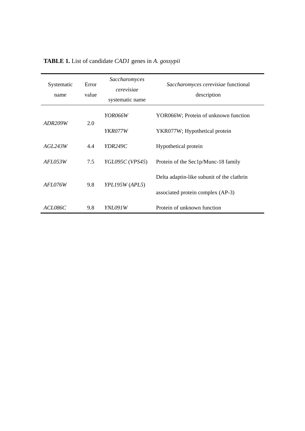| Systematic<br>name | Error<br>value | Saccharomyces<br>cerevisiae<br>systematic name | Saccharomyces cerevisiae functional<br>description |
|--------------------|----------------|------------------------------------------------|----------------------------------------------------|
|                    | 2.0            | YOR066W                                        | YOR066W; Protein of unknown function               |
| ADR209W            |                | <i>YKR077W</i>                                 | YKR077W; Hypothetical protein                      |
| AGL243W            | 4.4            | <b>YDR249C</b>                                 | Hypothetical protein                               |
| AFL053W            | 7.5            | <i>YGL095C</i> (VPS45)                         | Protein of the Sec1p/Munc-18 family                |
|                    | 9.8            |                                                | Delta adaptin-like subunit of the clathrin         |
| AFL076W            |                | YPL195W (APL5)                                 | associated protein complex (AP-3)                  |
| ACL086C            | 9.8            | YNL091W                                        | Protein of unknown function                        |

**TABLE 1.** List of candidate *CAD1* genes in *A. gossypii*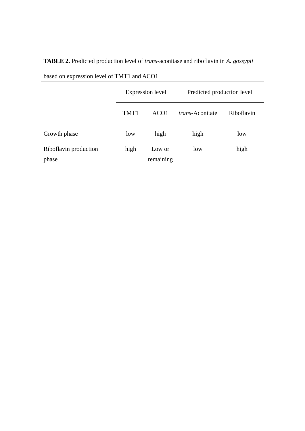| $\frac{1}{2}$         |      |                         |                            |            |  |  |
|-----------------------|------|-------------------------|----------------------------|------------|--|--|
|                       |      | <b>Expression level</b> | Predicted production level |            |  |  |
|                       | TMT1 | ACO <sub>1</sub>        | <i>trans-Aconitate</i>     | Riboflavin |  |  |
| Growth phase          | low  | high                    | high                       | low        |  |  |
| Riboflavin production | high | Low or                  | low                        | high       |  |  |
| phase                 |      | remaining               |                            |            |  |  |

**TABLE 2.** Predicted production level of *trans*-aconitase and riboflavin in *A. gossypii*

based on expression level of TMT1 and ACO1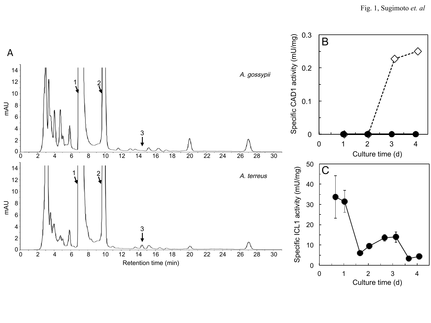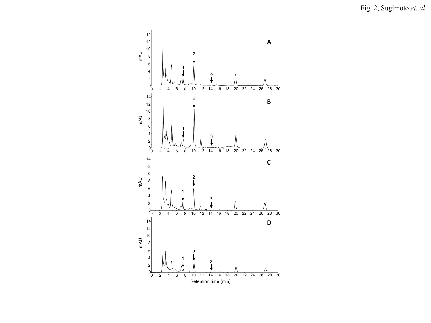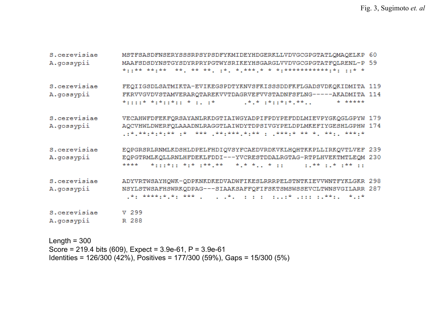Fig. 3, Sugimoto *et. al*

| S.cerevisiae<br>A.gossypii                | MSTFSASDFNSERYSSSRPSYPSDFYKMIDEYHDGERKLLVDVGCGPGTATLQMAQELKP 60<br>MAAFSDSDYNSTGYSDYRPRYPGTWYSRIKEYHSGARGLVVDVGCGPGTATFQLRENL-P 59<br>يقريبان ويقويه فيقعد فيقعد فيقومها والمتعارفة والمتحدث والمتعرفة القاقد المتقوية فالمتقوومة         |  |
|-------------------------------------------|-------------------------------------------------------------------------------------------------------------------------------------------------------------------------------------------------------------------------------------------|--|
| S.cerevisiae<br>A.gossypii                | FEQIIGSDLSATMIKTA-EVIKEGSPDTYKNVSFKISSSDDFKFLGADSVDKQKIDMITA 119<br>FKRVVGVDVSTAMVERARQTAREKVVTDAGRVEFVVSTADNFSFLNG-----AKADMITA 114                                                                                                      |  |
| S.cerevisiae<br>A.gossypii                | VECAHWFDFEKFQRSAYANLRKDGTIAIWGYADPIFPDYPEFDDLMIEVPYGKQGLGPYW 179<br>AQCVHWLDWERFQLAAADNLRAGGTLAIWDYTDPSIVGYPELDPLMKEFIYGESHLGPHW 174<br>الموطاطين والمتمر المراطاط الموطاطين والمطاوط والمطاط والمطاطر المواطر المطاوعين والمواطئ الموارا |  |
| S.cerevisiae<br>A.gossypii                | EQPGRSRLRNMLKDSHLDPELFHDIQVSYFCAEDVRDKVKLHQHTKKPLLIRKQVTLVEF 239<br>EQPGTRMLKQLLRNLHFDEKLFDDI---YVCRESTDDALRGTAG-RTPLHVEKTMTLEQM 230<br>ووالحقوا طروا طفروا الناووالحارزيف طرطا القطرطفو طوطا ووطووووط الفطفط                             |  |
| S.cerevisiae<br>A.gossypii                | ADYVRTWSAYHQWK-QDPKNKDKEDVADWFIKESLRRRPELSTNTKIEVVWNTFYKLGKR 298<br>NSYLSTWSAFHSWRKQDPAG---SIAAKSAFFQFIFSKTSMSWSSEVCLTWNSVGILARR 287<br>الحوية الوسطوسي وتووي سوييون والواوا يفي المراسمة وسيسوس والمستشر                                 |  |
| S.cerevisiae V 299<br>R 288<br>A.gossypii |                                                                                                                                                                                                                                           |  |

Length  $= 300$ Score = 219.4 bits (609), Expect = 3.9e-61, P = 3.9e-61 Identities = 126/300 (42%), Positives = 177/300 (59%), Gaps = 15/300 (5%)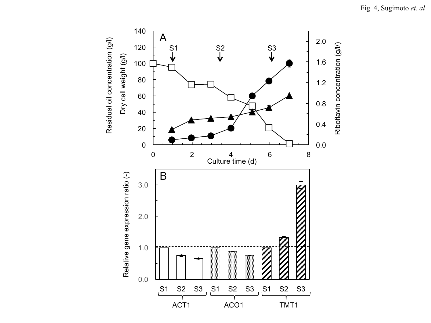